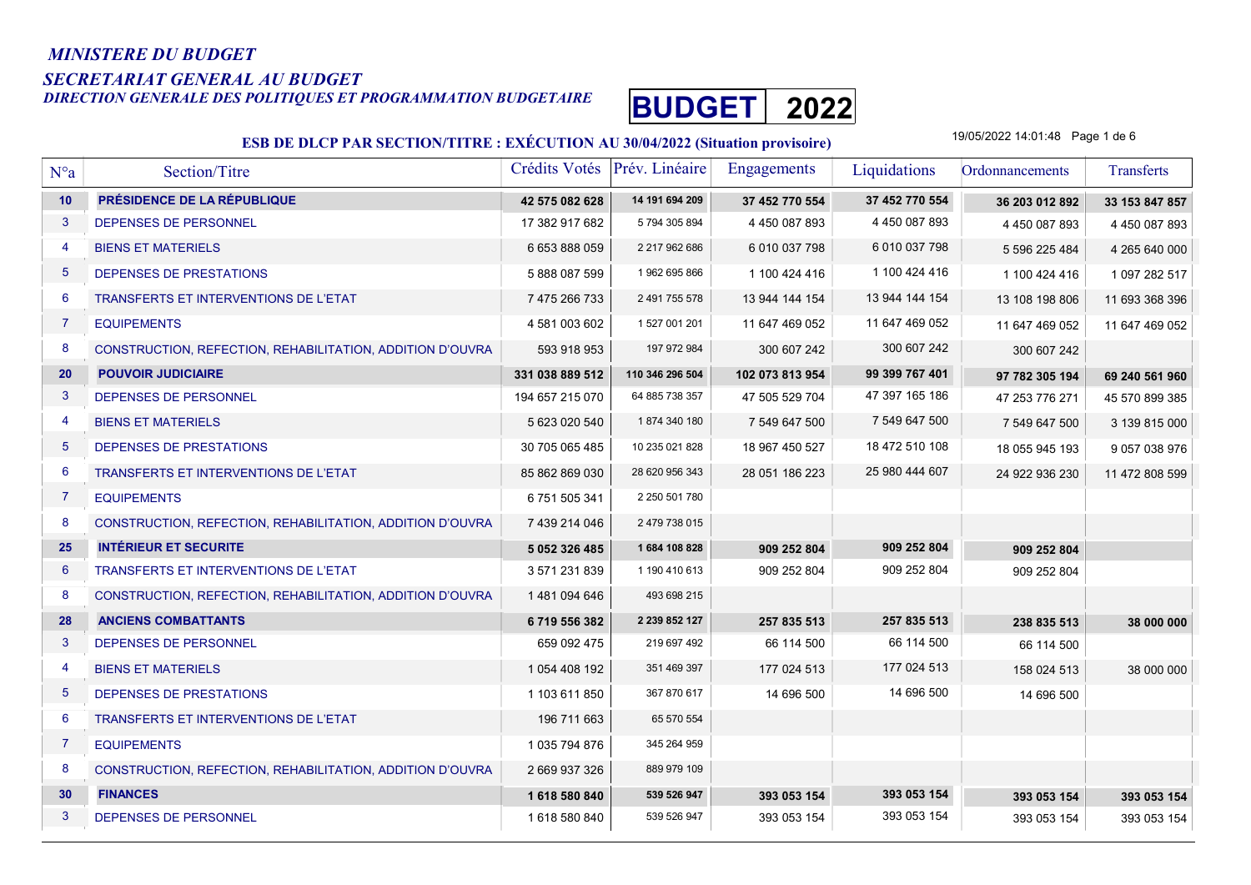#### MINISTERE DU BUDGET

# SECRETARIAT GENERAL AU BUDGET

DIRECTION GENERALE DES POLITIQUES ET PROGRAMMATION BUDGETAIRE BUDGET 2022



#### ESB DE DLCP PAR SECTION/TITRE : EXÉCUTION AU 30/04/2022 (Situation provisoire)

19/05/2022 14:01:48 Page 1 de 6

| $N^{\circ}a$    | Section/Titre                                             | Crédits Votés   | Prév. Linéaire  | <b>Engagements</b> | Liquidations   | Ordonnancements | Transferts          |
|-----------------|-----------------------------------------------------------|-----------------|-----------------|--------------------|----------------|-----------------|---------------------|
| 10              | PRÉSIDENCE DE LA RÉPUBLIQUE                               | 42 575 082 628  | 14 191 694 209  | 37 452 770 554     | 37 452 770 554 | 36 203 012 892  | 33 153 847 857      |
| $\mathbf{3}$    | DEPENSES DE PERSONNEL                                     | 17 382 917 682  | 5 794 305 894   | 4 450 087 893      | 4 450 087 893  | 4 450 087 893   | 4 450 087 893       |
| 4               | <b>BIENS ET MATERIELS</b>                                 | 6 653 888 059   | 2 217 962 686   | 6 010 037 798      | 6 010 037 798  | 5 596 225 484   | 4 265 640 000       |
| $5\phantom{.0}$ | DEPENSES DE PRESTATIONS                                   | 5888087599      | 1962 695 866    | 1 100 424 416      | 1 100 424 416  | 1 100 424 416   | 1 097 282 517       |
| 6               | <b>TRANSFERTS ET INTERVENTIONS DE L'ETAT</b>              | 7 475 266 733   | 2 491 755 578   | 13 944 144 154     | 13 944 144 154 | 13 108 198 806  | 11 693 368 396      |
| $\overline{7}$  | <b>EQUIPEMENTS</b>                                        | 4 581 003 602   | 1 527 001 201   | 11 647 469 052     | 11 647 469 052 | 11 647 469 052  | 11 647 469 052      |
| 8               | CONSTRUCTION, REFECTION, REHABILITATION, ADDITION D'OUVRA | 593 918 953     | 197 972 984     | 300 607 242        | 300 607 242    | 300 607 242     |                     |
| 20              | <b>POUVOIR JUDICIAIRE</b>                                 | 331 038 889 512 | 110 346 296 504 | 102 073 813 954    | 99 399 767 401 | 97 782 305 194  | 69 240 561 960      |
| 3               | DEPENSES DE PERSONNEL                                     | 194 657 215 070 | 64 885 738 357  | 47 505 529 704     | 47 397 165 186 | 47 253 776 271  | 45 570 899 385      |
| 4               | <b>BIENS ET MATERIELS</b>                                 | 5 623 020 540   | 1874 340 180    | 7 549 647 500      | 7 549 647 500  | 7 549 647 500   | 3 139 815 000       |
| $5\phantom{.0}$ | DEPENSES DE PRESTATIONS                                   | 30 705 065 485  | 10 235 021 828  | 18 967 450 527     | 18 472 510 108 | 18 055 945 193  | 9 0 5 7 0 3 8 9 7 6 |
| 6               | TRANSFERTS ET INTERVENTIONS DE L'ETAT                     | 85 862 869 030  | 28 620 956 343  | 28 051 186 223     | 25 980 444 607 | 24 922 936 230  | 11 472 808 599      |
| $\overline{7}$  | <b>EQUIPEMENTS</b>                                        | 6751505341      | 2 250 501 780   |                    |                |                 |                     |
| 8               | CONSTRUCTION, REFECTION, REHABILITATION, ADDITION D'OUVRA | 7 439 214 046   | 2 479 738 015   |                    |                |                 |                     |
| 25              | <b>INTÉRIEUR ET SECURITE</b>                              | 5 052 326 485   | 1684 108 828    | 909 252 804        | 909 252 804    | 909 252 804     |                     |
| $6\phantom{1}$  | TRANSFERTS ET INTERVENTIONS DE L'ETAT                     | 3 571 231 839   | 1 190 410 613   | 909 252 804        | 909 252 804    | 909 252 804     |                     |
| 8               | CONSTRUCTION, REFECTION, REHABILITATION, ADDITION D'OUVRA | 1481094646      | 493 698 215     |                    |                |                 |                     |
| 28              | <b>ANCIENS COMBATTANTS</b>                                | 6719556382      | 2 239 852 127   | 257 835 513        | 257 835 513    | 238 835 513     | 38 000 000          |
| 3               | DEPENSES DE PERSONNEL                                     | 659 092 475     | 219 697 492     | 66 114 500         | 66 114 500     | 66 114 500      |                     |
| $\overline{4}$  | <b>BIENS ET MATERIELS</b>                                 | 1 054 408 192   | 351 469 397     | 177 024 513        | 177 024 513    | 158 024 513     | 38 000 000          |
| $5\phantom{.0}$ | DEPENSES DE PRESTATIONS                                   | 1 103 611 850   | 367 870 617     | 14 696 500         | 14 696 500     | 14 696 500      |                     |
| 6               | <b>TRANSFERTS ET INTERVENTIONS DE L'ETAT</b>              | 196 711 663     | 65 570 554      |                    |                |                 |                     |
| $\mathbf{7}$    | <b>EQUIPEMENTS</b>                                        | 1 035 794 876   | 345 264 959     |                    |                |                 |                     |
| 8               | CONSTRUCTION, REFECTION, REHABILITATION, ADDITION D'OUVRA | 2 669 937 326   | 889 979 109     |                    |                |                 |                     |
| 30              | <b>FINANCES</b>                                           | 1618580840      | 539 526 947     | 393 053 154        | 393 053 154    | 393 053 154     | 393 053 154         |
| 3               | DEPENSES DE PERSONNEL                                     | 1618580840      | 539 526 947     | 393 053 154        | 393 053 154    | 393 053 154     | 393 053 154         |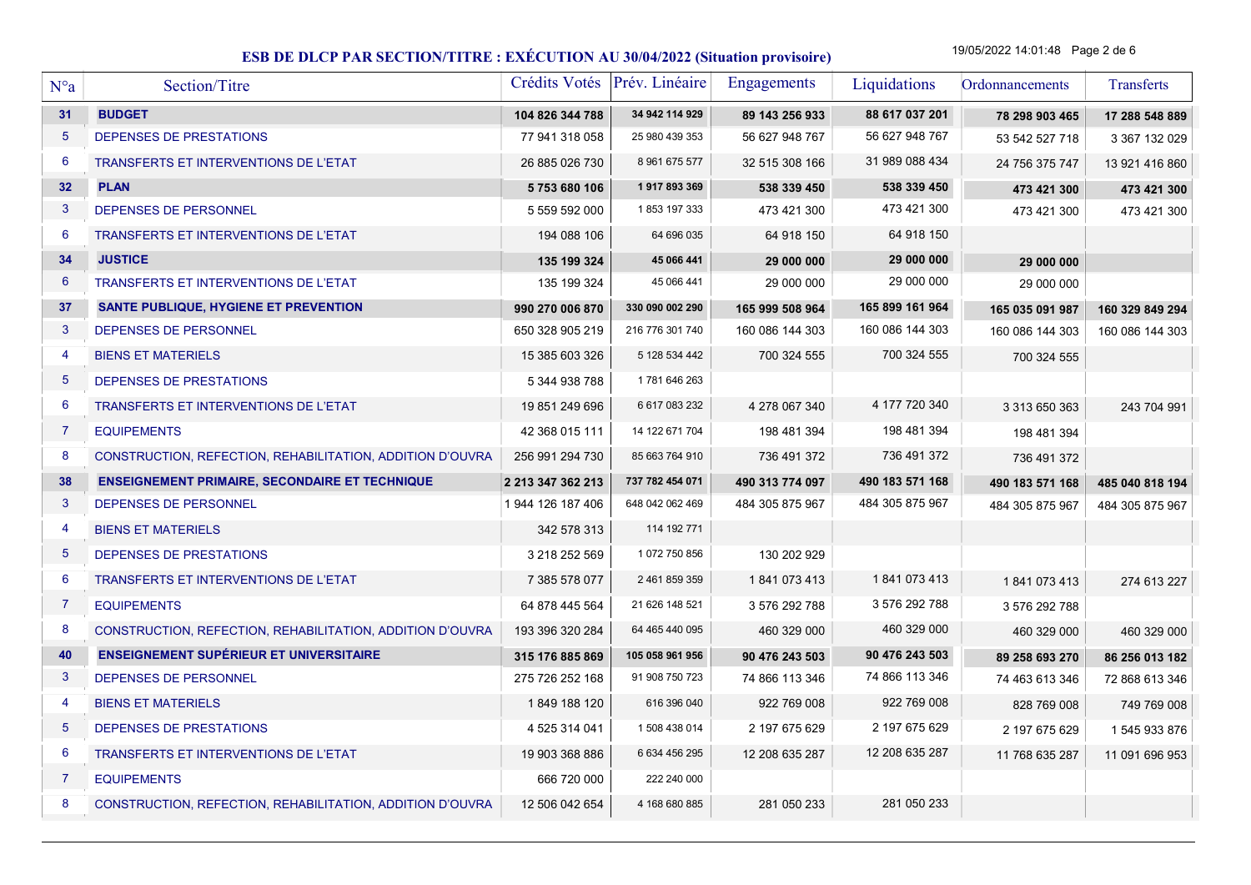19/05/2022 14:01:48 Page 2 de 6

| $N^{\circ}a$   | Section/Titre                                             | Crédits Votés Prév. Linéaire |                 | <b>Engagements</b> | Liquidations    | Ordonnancements | Transferts      |
|----------------|-----------------------------------------------------------|------------------------------|-----------------|--------------------|-----------------|-----------------|-----------------|
| 31             | <b>BUDGET</b>                                             | 104 826 344 788              | 34 942 114 929  | 89 143 256 933     | 88 617 037 201  | 78 298 903 465  | 17 288 548 889  |
| $\overline{5}$ | DEPENSES DE PRESTATIONS                                   | 77 941 318 058               | 25 980 439 353  | 56 627 948 767     | 56 627 948 767  | 53 542 527 718  | 3 367 132 029   |
| 6              | TRANSFERTS ET INTERVENTIONS DE L'ETAT                     | 26 885 026 730               | 8 961 675 577   | 32 515 308 166     | 31 989 088 434  | 24 756 375 747  | 13 921 416 860  |
| 32             | <b>PLAN</b>                                               | 5753680106                   | 1917893369      | 538 339 450        | 538 339 450     | 473 421 300     | 473 421 300     |
| 3              | DEPENSES DE PERSONNEL                                     | 5 559 592 000                | 1853 197 333    | 473 421 300        | 473 421 300     | 473 421 300     | 473 421 300     |
| 6              | <b>TRANSFERTS ET INTERVENTIONS DE L'ETAT</b>              | 194 088 106                  | 64 696 035      | 64 918 150         | 64 918 150      |                 |                 |
| 34             | <b>JUSTICE</b>                                            | 135 199 324                  | 45 066 441      | 29 000 000         | 29 000 000      | 29 000 000      |                 |
| 6              | TRANSFERTS ET INTERVENTIONS DE L'ETAT                     | 135 199 324                  | 45 066 441      | 29 000 000         | 29 000 000      | 29 000 000      |                 |
| 37             | <b>SANTE PUBLIQUE, HYGIENE ET PREVENTION</b>              | 990 270 006 870              | 330 090 002 290 | 165 999 508 964    | 165 899 161 964 | 165 035 091 987 | 160 329 849 294 |
| 3              | DEPENSES DE PERSONNEL                                     | 650 328 905 219              | 216 776 301 740 | 160 086 144 303    | 160 086 144 303 | 160 086 144 303 | 160 086 144 303 |
| $\overline{4}$ | <b>BIENS ET MATERIELS</b>                                 | 15 385 603 326               | 5 128 534 442   | 700 324 555        | 700 324 555     | 700 324 555     |                 |
| $\overline{5}$ | DEPENSES DE PRESTATIONS                                   | 5 344 938 788                | 1781 646 263    |                    |                 |                 |                 |
| 6              | TRANSFERTS ET INTERVENTIONS DE L'ETAT                     | 19 851 249 696               | 6 617 083 232   | 4 278 067 340      | 4 177 720 340   | 3 313 650 363   | 243 704 991     |
| 7              | <b>EQUIPEMENTS</b>                                        | 42 368 015 111               | 14 122 671 704  | 198 481 394        | 198 481 394     | 198 481 394     |                 |
| 8              | CONSTRUCTION, REFECTION, REHABILITATION, ADDITION D'OUVRA | 256 991 294 730              | 85 663 764 910  | 736 491 372        | 736 491 372     | 736 491 372     |                 |
| 38             | <b>ENSEIGNEMENT PRIMAIRE, SECONDAIRE ET TECHNIQUE</b>     | 2 213 347 362 213            | 737 782 454 071 | 490 313 774 097    | 490 183 571 168 | 490 183 571 168 | 485 040 818 194 |
| $\mathbf{3}$   | DEPENSES DE PERSONNEL                                     | 1 944 126 187 406            | 648 042 062 469 | 484 305 875 967    | 484 305 875 967 | 484 305 875 967 | 484 305 875 967 |
| $\overline{4}$ | <b>BIENS ET MATERIELS</b>                                 | 342 578 313                  | 114 192 771     |                    |                 |                 |                 |
| 5              | DEPENSES DE PRESTATIONS                                   | 3 218 252 569                | 1 072 750 856   | 130 202 929        |                 |                 |                 |
| 6              | TRANSFERTS ET INTERVENTIONS DE L'ETAT                     | 7 385 578 077                | 2 461 859 359   | 1841073413         | 1841073413      | 1841073413      | 274 613 227     |
| $\overline{7}$ | <b>EQUIPEMENTS</b>                                        | 64 878 445 564               | 21 626 148 521  | 3 576 292 788      | 3 576 292 788   | 3 576 292 788   |                 |
| 8              | CONSTRUCTION, REFECTION, REHABILITATION, ADDITION D'OUVRA | 193 396 320 284              | 64 465 440 095  | 460 329 000        | 460 329 000     | 460 329 000     | 460 329 000     |
| 40             | <b>ENSEIGNEMENT SUPÉRIEUR ET UNIVERSITAIRE</b>            | 315 176 885 869              | 105 058 961 956 | 90 476 243 503     | 90 476 243 503  | 89 258 693 270  | 86 256 013 182  |
| 3              | DEPENSES DE PERSONNEL                                     | 275 726 252 168              | 91 908 750 723  | 74 866 113 346     | 74 866 113 346  | 74 463 613 346  | 72 868 613 346  |
| $\overline{4}$ | <b>BIENS ET MATERIELS</b>                                 | 1849 188 120                 | 616 396 040     | 922 769 008        | 922 769 008     | 828 769 008     | 749 769 008     |
| $\overline{5}$ | DEPENSES DE PRESTATIONS                                   | 4 525 314 041                | 1508 438 014    | 2 197 675 629      | 2 197 675 629   | 2 197 675 629   | 1545933876      |
| 6              | TRANSFERTS ET INTERVENTIONS DE L'ETAT                     | 19 903 368 886               | 6 634 456 295   | 12 208 635 287     | 12 208 635 287  | 11 768 635 287  | 11 091 696 953  |
| 7              | <b>EQUIPEMENTS</b>                                        | 666 720 000                  | 222 240 000     |                    |                 |                 |                 |
| 8              | CONSTRUCTION, REFECTION, REHABILITATION, ADDITION D'OUVRA | 12 506 042 654               | 4 168 680 885   | 281 050 233        | 281 050 233     |                 |                 |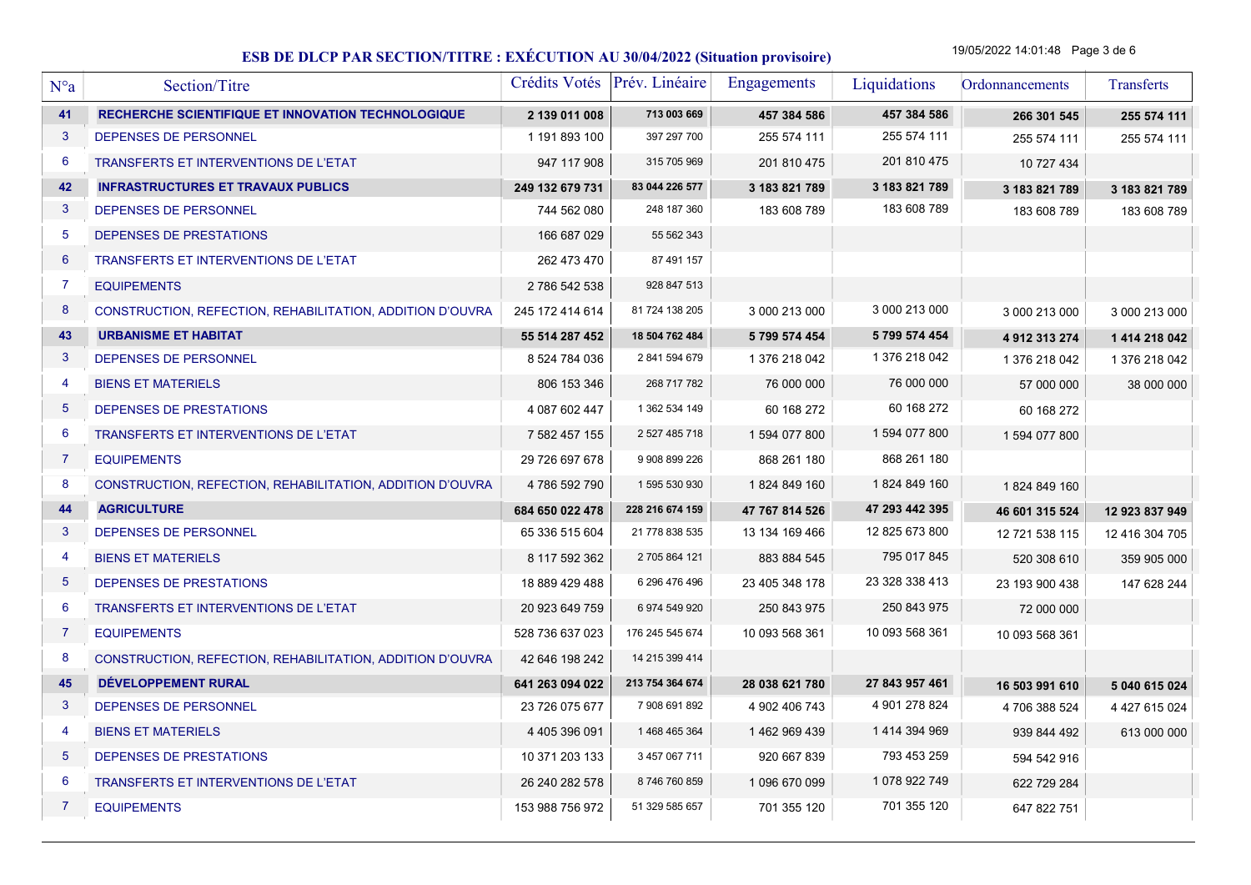19/05/2022 14:01:48 Page 3 de 6

| N°a             | Section/Titre                                             | Crédits Votés Prév. Linéaire |                 | Engagements    | Liquidations   | Ordonnancements | Transferts     |
|-----------------|-----------------------------------------------------------|------------------------------|-----------------|----------------|----------------|-----------------|----------------|
| 41              | RECHERCHE SCIENTIFIQUE ET INNOVATION TECHNOLOGIQUE        | 2 139 011 008                | 713 003 669     | 457 384 586    | 457 384 586    | 266 301 545     | 255 574 111    |
| 3               | DEPENSES DE PERSONNEL                                     | 1 191 893 100                | 397 297 700     | 255 574 111    | 255 574 111    | 255 574 111     | 255 574 111    |
| 6               | <b>TRANSFERTS ET INTERVENTIONS DE L'ETAT</b>              | 947 117 908                  | 315 705 969     | 201 810 475    | 201 810 475    | 10 727 434      |                |
| 42              | <b>INFRASTRUCTURES ET TRAVAUX PUBLICS</b>                 | 249 132 679 731              | 83 044 226 577  | 3 183 821 789  | 3 183 821 789  | 3 183 821 789   | 3 183 821 789  |
| 3               | DEPENSES DE PERSONNEL                                     | 744 562 080                  | 248 187 360     | 183 608 789    | 183 608 789    | 183 608 789     | 183 608 789    |
| 5               | DEPENSES DE PRESTATIONS                                   | 166 687 029                  | 55 562 343      |                |                |                 |                |
| $6\phantom{1}6$ | <b>TRANSFERTS ET INTERVENTIONS DE L'ETAT</b>              | 262 473 470                  | 87 491 157      |                |                |                 |                |
| 7               | <b>EQUIPEMENTS</b>                                        | 2786 542 538                 | 928 847 513     |                |                |                 |                |
| 8               | CONSTRUCTION, REFECTION, REHABILITATION, ADDITION D'OUVRA | 245 172 414 614              | 81 724 138 205  | 3 000 213 000  | 3 000 213 000  | 3 000 213 000   | 3 000 213 000  |
| 43              | <b>URBANISME ET HABITAT</b>                               | 55 514 287 452               | 18 504 762 484  | 5 799 574 454  | 5 799 574 454  | 4 912 313 274   | 1 414 218 042  |
| 3               | DEPENSES DE PERSONNEL                                     | 8 524 784 036                | 2 841 594 679   | 1 376 218 042  | 1 376 218 042  | 1 376 218 042   | 1 376 218 042  |
| 4               | <b>BIENS ET MATERIELS</b>                                 | 806 153 346                  | 268 717 782     | 76 000 000     | 76 000 000     | 57 000 000      | 38 000 000     |
| 5               | DEPENSES DE PRESTATIONS                                   | 4 087 602 447                | 1 362 534 149   | 60 168 272     | 60 168 272     | 60 168 272      |                |
| 6               | TRANSFERTS ET INTERVENTIONS DE L'ETAT                     | 7 582 457 155                | 2 527 485 718   | 1 594 077 800  | 1 594 077 800  | 1 594 077 800   |                |
| $\overline{7}$  | <b>EQUIPEMENTS</b>                                        | 29 726 697 678               | 9 908 899 226   | 868 261 180    | 868 261 180    |                 |                |
| 8               | CONSTRUCTION, REFECTION, REHABILITATION, ADDITION D'OUVRA | 4786 592 790                 | 1 595 530 930   | 1824 849 160   | 1824 849 160   | 1824 849 160    |                |
| 44              | <b>AGRICULTURE</b>                                        | 684 650 022 478              | 228 216 674 159 | 47 767 814 526 | 47 293 442 395 | 46 601 315 524  | 12 923 837 949 |
| 3               | DEPENSES DE PERSONNEL                                     | 65 336 515 604               | 21 778 838 535  | 13 134 169 466 | 12 825 673 800 | 12 721 538 115  | 12 416 304 705 |
| 4               | <b>BIENS ET MATERIELS</b>                                 | 8 117 592 362                | 2 705 864 121   | 883 884 545    | 795 017 845    | 520 308 610     | 359 905 000    |
| 5               | DEPENSES DE PRESTATIONS                                   | 18 889 429 488               | 6 296 476 496   | 23 405 348 178 | 23 328 338 413 | 23 193 900 438  | 147 628 244    |
| 6               | TRANSFERTS ET INTERVENTIONS DE L'ETAT                     | 20 923 649 759               | 6 974 549 920   | 250 843 975    | 250 843 975    | 72 000 000      |                |
| $\overline{7}$  | <b>EQUIPEMENTS</b>                                        | 528 736 637 023              | 176 245 545 674 | 10 093 568 361 | 10 093 568 361 | 10 093 568 361  |                |
| 8               | CONSTRUCTION, REFECTION, REHABILITATION, ADDITION D'OUVRA | 42 646 198 242               | 14 215 399 414  |                |                |                 |                |
| 45              | DÉVELOPPEMENT RURAL                                       | 641 263 094 022              | 213 754 364 674 | 28 038 621 780 | 27 843 957 461 | 16 503 991 610  | 5 040 615 024  |
| 3               | DEPENSES DE PERSONNEL                                     | 23 726 075 677               | 7 908 691 892   | 4 902 406 743  | 4 901 278 824  | 4 706 388 524   | 4 427 615 024  |
| 4               | <b>BIENS ET MATERIELS</b>                                 | 4 405 396 091                | 1 468 465 364   | 1462969439     | 1414 394 969   | 939 844 492     | 613 000 000    |
| 5               | DEPENSES DE PRESTATIONS                                   | 10 371 203 133               | 3 457 067 711   | 920 667 839    | 793 453 259    | 594 542 916     |                |
| 6               | TRANSFERTS ET INTERVENTIONS DE L'ETAT                     | 26 240 282 578               | 8746760859      | 1 096 670 099  | 1 078 922 749  | 622 729 284     |                |
| 7               | <b>EQUIPEMENTS</b>                                        | 153 988 756 972              | 51 329 585 657  | 701 355 120    | 701 355 120    | 647 822 751     |                |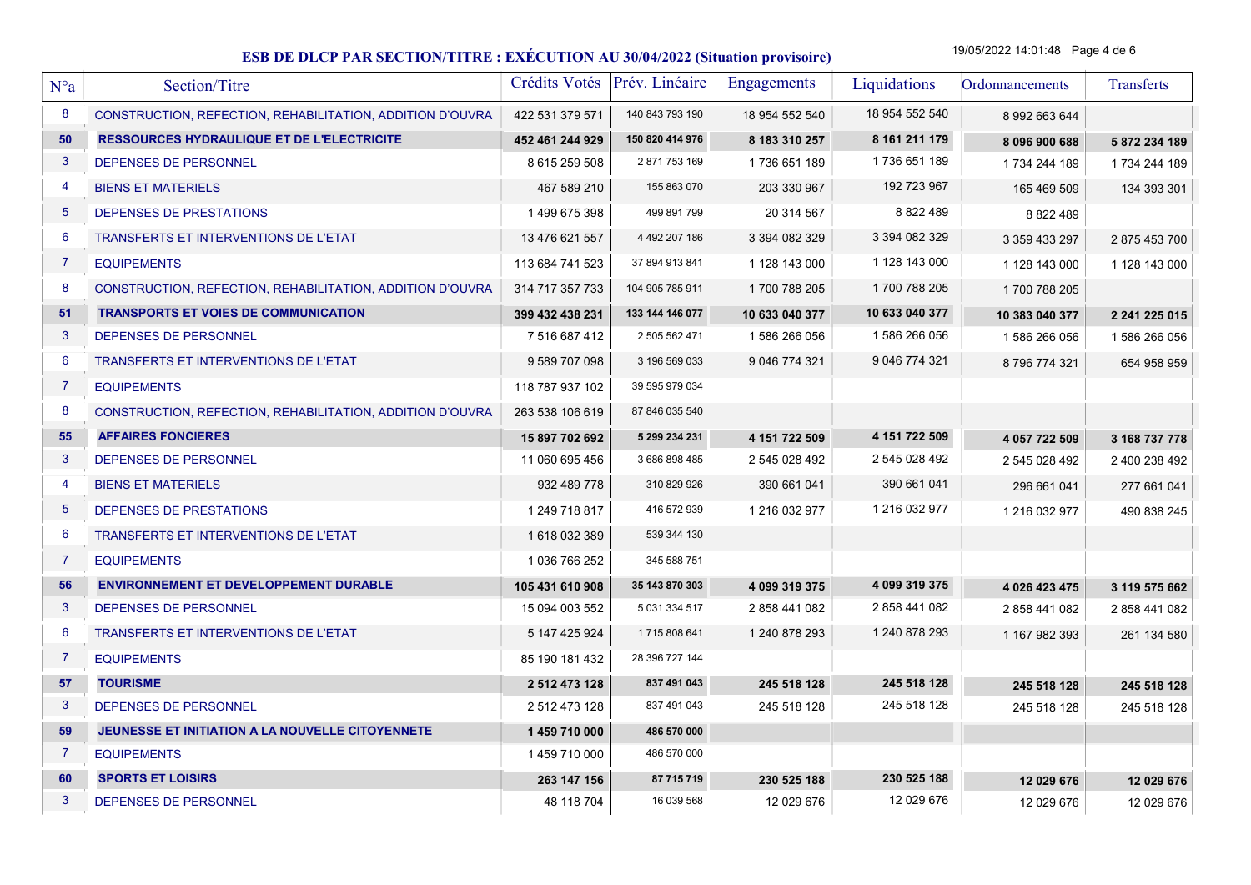19/05/2022 14:01:48 Page 4 de 6

| N°a            | Section/Titre                                             | Crédits Votés   | Prév. Linéaire  | Engagements    | Liquidations   | Ordonnancements | Transferts    |
|----------------|-----------------------------------------------------------|-----------------|-----------------|----------------|----------------|-----------------|---------------|
| 8              | CONSTRUCTION, REFECTION, REHABILITATION, ADDITION D'OUVRA | 422 531 379 571 | 140 843 793 190 | 18 954 552 540 | 18 954 552 540 | 8 992 663 644   |               |
| 50             | <b>RESSOURCES HYDRAULIQUE ET DE L'ELECTRICITE</b>         | 452 461 244 929 | 150 820 414 976 | 8 183 310 257  | 8 161 211 179  | 8 096 900 688   | 5 872 234 189 |
| 3              | DEPENSES DE PERSONNEL                                     | 8 615 259 508   | 2 871 753 169   | 1736 651 189   | 1736 651 189   | 1734 244 189    | 1 734 244 189 |
| 4              | <b>BIENS ET MATERIELS</b>                                 | 467 589 210     | 155 863 070     | 203 330 967    | 192 723 967    | 165 469 509     | 134 393 301   |
| 5              | DEPENSES DE PRESTATIONS                                   | 1499675398      | 499 891 799     | 20 314 567     | 8 822 489      | 8 822 489       |               |
| 6              | TRANSFERTS ET INTERVENTIONS DE L'ETAT                     | 13 476 621 557  | 4 492 207 186   | 3 394 082 329  | 3 394 082 329  | 3 359 433 297   | 2875453700    |
| $\overline{7}$ | <b>EQUIPEMENTS</b>                                        | 113 684 741 523 | 37 894 913 841  | 1 128 143 000  | 1 128 143 000  | 1 128 143 000   | 1 128 143 000 |
| 8              | CONSTRUCTION, REFECTION, REHABILITATION, ADDITION D'OUVRA | 314 717 357 733 | 104 905 785 911 | 1700 788 205   | 1700 788 205   | 1700 788 205    |               |
| 51             | <b>TRANSPORTS ET VOIES DE COMMUNICATION</b>               | 399 432 438 231 | 133 144 146 077 | 10 633 040 377 | 10 633 040 377 | 10 383 040 377  | 2 241 225 015 |
| 3              | DEPENSES DE PERSONNEL                                     | 7 516 687 412   | 2 505 562 471   | 1 586 266 056  | 1 586 266 056  | 1 586 266 056   | 1 586 266 056 |
| 6              | TRANSFERTS ET INTERVENTIONS DE L'ETAT                     | 9 589 707 098   | 3 196 569 033   | 9 046 774 321  | 9 046 774 321  | 8796774321      | 654 958 959   |
| 7              | <b>EQUIPEMENTS</b>                                        | 118 787 937 102 | 39 595 979 034  |                |                |                 |               |
| 8              | CONSTRUCTION, REFECTION, REHABILITATION, ADDITION D'OUVRA | 263 538 106 619 | 87 846 035 540  |                |                |                 |               |
| 55             | <b>AFFAIRES FONCIERES</b>                                 | 15 897 702 692  | 5 299 234 231   | 4 151 722 509  | 4 151 722 509  | 4 057 722 509   | 3 168 737 778 |
| 3              | DEPENSES DE PERSONNEL                                     | 11 060 695 456  | 3 686 898 485   | 2 545 028 492  | 2 545 028 492  | 2 545 028 492   | 2 400 238 492 |
| 4              | <b>BIENS ET MATERIELS</b>                                 | 932 489 778     | 310 829 926     | 390 661 041    | 390 661 041    | 296 661 041     | 277 661 041   |
| 5              | DEPENSES DE PRESTATIONS                                   | 1 249 718 817   | 416 572 939     | 1 216 032 977  | 1 216 032 977  | 1 216 032 977   | 490 838 245   |
| 6              | TRANSFERTS ET INTERVENTIONS DE L'ETAT                     | 1618032389      | 539 344 130     |                |                |                 |               |
| $\overline{7}$ | <b>EQUIPEMENTS</b>                                        | 1 036 766 252   | 345 588 751     |                |                |                 |               |
| 56             | <b>ENVIRONNEMENT ET DEVELOPPEMENT DURABLE</b>             | 105 431 610 908 | 35 143 870 303  | 4 099 319 375  | 4 099 319 375  | 4 026 423 475   | 3 119 575 662 |
| 3              | DEPENSES DE PERSONNEL                                     | 15 094 003 552  | 5 031 334 517   | 2 858 441 082  | 2 858 441 082  | 2 858 441 082   | 2 858 441 082 |
| 6              | <b>TRANSFERTS ET INTERVENTIONS DE L'ETAT</b>              | 5 147 425 924   | 1715808641      | 1 240 878 293  | 1 240 878 293  | 1 167 982 393   | 261 134 580   |
| $\overline{7}$ | <b>EQUIPEMENTS</b>                                        | 85 190 181 432  | 28 396 727 144  |                |                |                 |               |
| 57             | <b>TOURISME</b>                                           | 2 512 473 128   | 837 491 043     | 245 518 128    | 245 518 128    | 245 518 128     | 245 518 128   |
| 3              | DEPENSES DE PERSONNEL                                     | 2 512 473 128   | 837 491 043     | 245 518 128    | 245 518 128    | 245 518 128     | 245 518 128   |
| 59             | JEUNESSE ET INITIATION A LA NOUVELLE CITOYENNETE          | 1 459 710 000   | 486 570 000     |                |                |                 |               |
| $\overline{7}$ | <b>EQUIPEMENTS</b>                                        | 1459710000      | 486 570 000     |                |                |                 |               |
| 60             | <b>SPORTS ET LOISIRS</b>                                  | 263 147 156     | 87 715 719      | 230 525 188    | 230 525 188    | 12 029 676      | 12 029 676    |
| 3              | DEPENSES DE PERSONNEL                                     | 48 118 704      | 16 039 568      | 12 029 676     | 12 029 676     | 12 029 676      | 12 029 676    |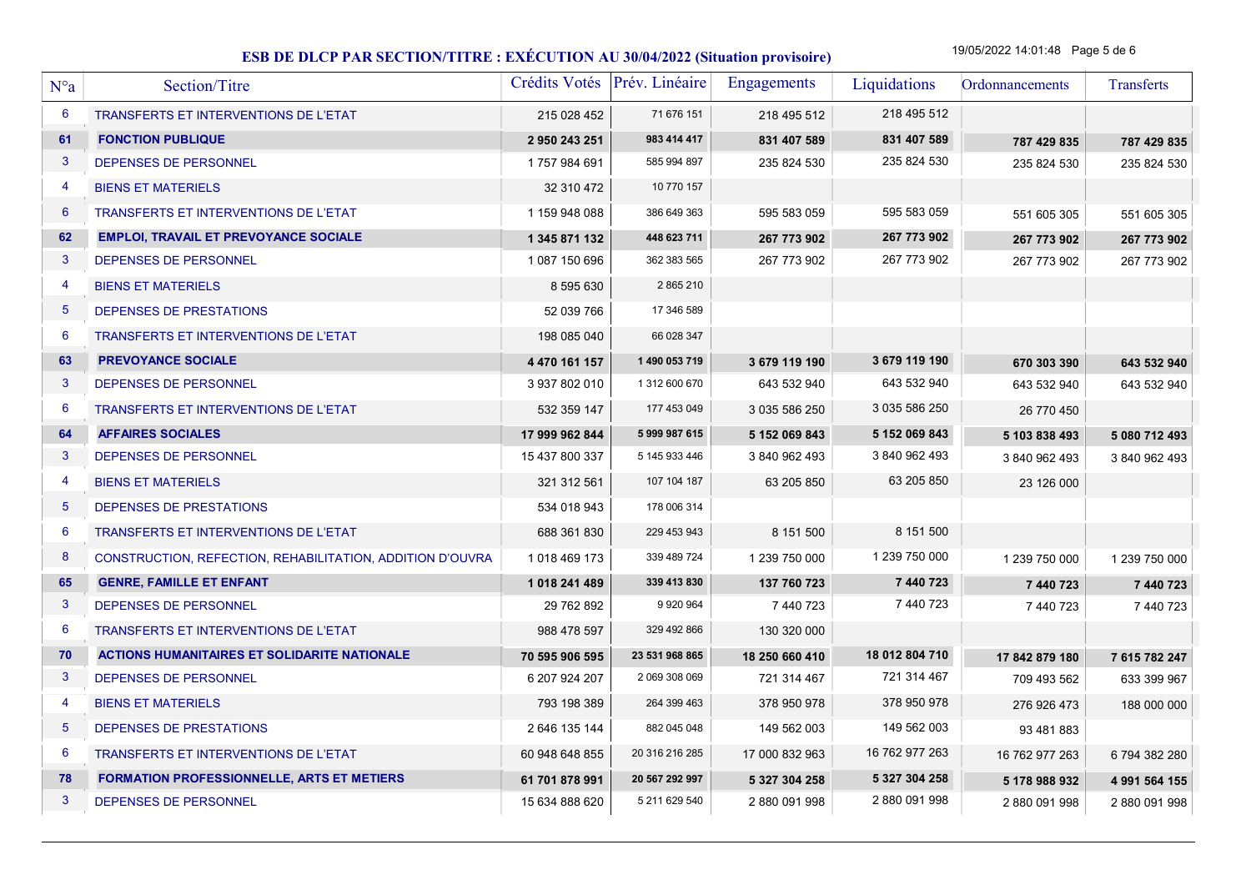19/05/2022 14:01:48 Page 5 de 6

| $N^{\circ}a$    | Section/Titre                                             |                | Crédits Votés Prév. Linéaire | <b>Engagements</b> | Liquidations   | Ordonnancements | Transferts    |
|-----------------|-----------------------------------------------------------|----------------|------------------------------|--------------------|----------------|-----------------|---------------|
| 6               | TRANSFERTS ET INTERVENTIONS DE L'ETAT                     | 215 028 452    | 71 676 151                   | 218 495 512        | 218 495 512    |                 |               |
| 61              | <b>FONCTION PUBLIQUE</b>                                  | 2 950 243 251  | 983 414 417                  | 831 407 589        | 831 407 589    | 787 429 835     | 787 429 835   |
| 3               | <b>DEPENSES DE PERSONNEL</b>                              | 1757984691     | 585 994 897                  | 235 824 530        | 235 824 530    | 235 824 530     | 235 824 530   |
| -4              | <b>BIENS ET MATERIELS</b>                                 | 32 310 472     | 10 770 157                   |                    |                |                 |               |
| $6\phantom{1}6$ | <b>TRANSFERTS ET INTERVENTIONS DE L'ETAT</b>              | 1 159 948 088  | 386 649 363                  | 595 583 059        | 595 583 059    | 551 605 305     | 551 605 305   |
| 62              | <b>EMPLOI, TRAVAIL ET PREVOYANCE SOCIALE</b>              | 1 345 871 132  | 448 623 711                  | 267 773 902        | 267 773 902    | 267 773 902     | 267 773 902   |
| 3               | DEPENSES DE PERSONNEL                                     | 1 087 150 696  | 362 383 565                  | 267 773 902        | 267 773 902    | 267 773 902     | 267 773 902   |
| -4              | <b>BIENS ET MATERIELS</b>                                 | 8 595 630      | 2 865 210                    |                    |                |                 |               |
| $\overline{5}$  | DEPENSES DE PRESTATIONS                                   | 52 039 766     | 17 346 589                   |                    |                |                 |               |
| 6               | TRANSFERTS ET INTERVENTIONS DE L'ETAT                     | 198 085 040    | 66 028 347                   |                    |                |                 |               |
| 63              | <b>PREVOYANCE SOCIALE</b>                                 | 4 470 161 157  | 1 490 053 719                | 3 679 119 190      | 3 679 119 190  | 670 303 390     | 643 532 940   |
| $\mathbf{3}$    | DEPENSES DE PERSONNEL                                     | 3 937 802 010  | 1 312 600 670                | 643 532 940        | 643 532 940    | 643 532 940     | 643 532 940   |
| 6               | TRANSFERTS ET INTERVENTIONS DE L'ETAT                     | 532 359 147    | 177 453 049                  | 3 035 586 250      | 3 035 586 250  | 26 770 450      |               |
| 64              | <b>AFFAIRES SOCIALES</b>                                  | 17 999 962 844 | 5 999 987 615                | 5 152 069 843      | 5 152 069 843  | 5 103 838 493   | 5 080 712 493 |
| $\mathbf{3}$    | DEPENSES DE PERSONNEL                                     | 15 437 800 337 | 5 145 933 446                | 3 840 962 493      | 3 840 962 493  | 3 840 962 493   | 3 840 962 493 |
| $\overline{4}$  | <b>BIENS ET MATERIELS</b>                                 | 321 312 561    | 107 104 187                  | 63 205 850         | 63 205 850     | 23 126 000      |               |
| 5               | DEPENSES DE PRESTATIONS                                   | 534 018 943    | 178 006 314                  |                    |                |                 |               |
| 6               | TRANSFERTS ET INTERVENTIONS DE L'ETAT                     | 688 361 830    | 229 453 943                  | 8 151 500          | 8 151 500      |                 |               |
| 8               | CONSTRUCTION, REFECTION, REHABILITATION, ADDITION D'OUVRA | 1018 469 173   | 339 489 724                  | 1 239 750 000      | 1 239 750 000  | 1 239 750 000   | 1 239 750 000 |
| 65              | <b>GENRE, FAMILLE ET ENFANT</b>                           | 1 018 241 489  | 339 413 830                  | 137 760 723        | 7 440 723      | 7 440 723       | 7 440 723     |
| $\mathbf{3}$    | DEPENSES DE PERSONNEL                                     | 29 762 892     | 9 9 20 9 64                  | 7 440 723          | 7 440 723      | 7 440 723       | 7 440 723     |
| 6               | <b>TRANSFERTS ET INTERVENTIONS DE L'ETAT</b>              | 988 478 597    | 329 492 866                  | 130 320 000        |                |                 |               |
| 70              | <b>ACTIONS HUMANITAIRES ET SOLIDARITE NATIONALE</b>       | 70 595 906 595 | 23 531 968 865               | 18 250 660 410     | 18 012 804 710 | 17 842 879 180  | 7 615 782 247 |
| 3               | DEPENSES DE PERSONNEL                                     | 6 207 924 207  | 2 069 308 069                | 721 314 467        | 721 314 467    | 709 493 562     | 633 399 967   |
| $\overline{4}$  | <b>BIENS ET MATERIELS</b>                                 | 793 198 389    | 264 399 463                  | 378 950 978        | 378 950 978    | 276 926 473     | 188 000 000   |
| $\overline{5}$  | DEPENSES DE PRESTATIONS                                   | 2 646 135 144  | 882 045 048                  | 149 562 003        | 149 562 003    | 93 481 883      |               |
| 6               | TRANSFERTS ET INTERVENTIONS DE L'ETAT                     | 60 948 648 855 | 20 316 216 285               | 17 000 832 963     | 16 762 977 263 | 16 762 977 263  | 6794382280    |
| 78              | <b>FORMATION PROFESSIONNELLE, ARTS ET METIERS</b>         | 61 701 878 991 | 20 567 292 997               | 5 327 304 258      | 5 327 304 258  | 5 178 988 932   | 4 991 564 155 |
| 3               | DEPENSES DE PERSONNEL                                     | 15 634 888 620 | 5 211 629 540                | 2880 091 998       | 2880 091 998   | 2 880 091 998   | 2880 091 998  |